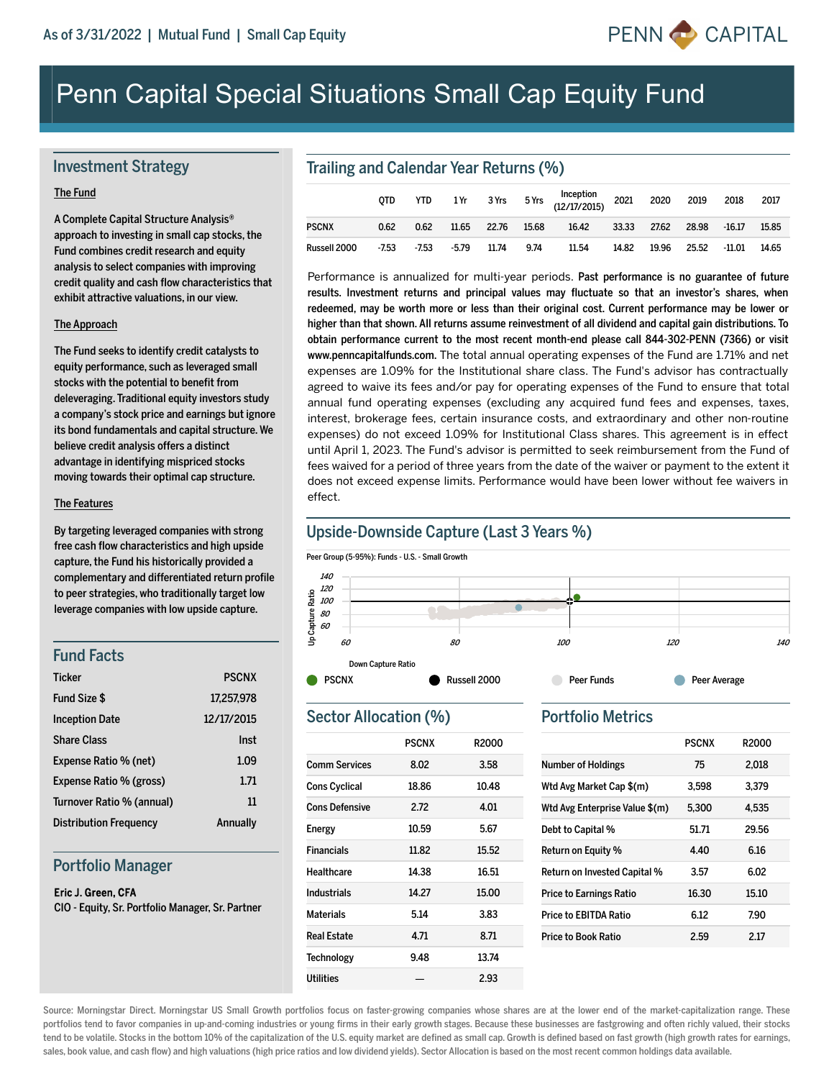

# Penn Capital Special Situations Small Cap Equity Fund

# Investment Strategy

#### The Fund

A Complete Capital Structure Analysis® approach to investing in small cap stocks, the Fund combines credit research and equity analysis to select companies with improving credit quality and cash flow characteristics that exhibit attractive valuations, in our view.

#### The Approach

The Fund seeks to identify credit catalysts to equity performance, such as leveraged small stocks with the potential to benefit from deleveraging. Traditional equity investors study a company's stock price and earnings but ignore its bond fundamentals and capital structure. We believe credit analysis offers a distinct advantage in identifying mispriced stocks moving towards their optimal cap structure.

#### The Features

By targeting leveraged companies with strong free cash flow characteristics and high upside capture, the Fund his historically provided a complementary and differentiated return profile to peer strategies, who traditionally target low leverage companies with low upside capture.

## Fund Facts

| <b>Ticker</b>                 | <b>PSCNX</b> |
|-------------------------------|--------------|
| Fund Size \$                  | 17,257,978   |
| <b>Inception Date</b>         | 12/17/2015   |
| <b>Share Class</b>            | Inst         |
| Expense Ratio % (net)         | 1.09         |
| Expense Ratio % (gross)       | 1.71         |
| Turnover Ratio % (annual)     | 11           |
| <b>Distribution Frequency</b> | Annually     |

## Portfolio Manager

#### Eric J. Green, CFA

CIO - Equity, Sr. Portfolio Manager, Sr. Partner

# Trailing and Calendar Year Returns (%)

|              | <b>OTD</b> | YTD     |         |             |      | 1 Yr 3 Yrs 5 Yrs Inception<br>(12/17/2015) 2021 2020 |       |       | 2019  | 2018     | 2017  |
|--------------|------------|---------|---------|-------------|------|------------------------------------------------------|-------|-------|-------|----------|-------|
| <b>PSCNX</b> | 0.62       | 0.62    | 11.65   | 22.76 15.68 |      | 16.42                                                | 33.33 | 27.62 | 28.98 | $-16.17$ | 15.85 |
| Russell 2000 | $-7.53$    | $-7.53$ | $-5.79$ | 11.74       | 9.74 | 11.54                                                | 14.82 | 19.96 | 25.52 | $-11.01$ | 14.65 |

Performance is annualized for multi-year periods. Past performance is no guarantee of future results. Investment returns and principal values may fluctuate so that an investor's shares, when redeemed, may be worth more or less than their original cost. Current performance may be lower or higher than that shown. All returns assume reinvestment of all dividend and capital gain distributions. To obtain performance current to the most recent month-end please call 844-302-PENN (7366) or visit www.penncapitalfunds.com. The total annual operating expenses of the Fund are 1.71% and net expenses are 1.09% for the Institutional share class. The Fund's advisor has contractually agreed to waive its fees and/or pay for operating expenses of the Fund to ensure that total annual fund operating expenses (excluding any acquired fund fees and expenses, taxes, interest, brokerage fees, certain insurance costs, and extraordinary and other nonroutine expenses) do not exceed 1.09% for Institutional Class shares. This agreement is in effect until April 1, 2023. The Fund's advisor is permitted to seek reimbursement from the Fund of fees waived for a period of three years from the date of the waiver or payment to the extent it does not exceed expense limits. Performance would have been lower without fee waivers in effect.

# Upside-Downside Capture (Last 3 Years %)

Peer Group (5-95%): Funds - U.S. - Small Growth



# Sector Allocation (%)

|                       | <b>PSCNX</b> | R <sub>2000</sub> |
|-----------------------|--------------|-------------------|
| <b>Comm Services</b>  | 8.02         | 3.58              |
| <b>Cons Cyclical</b>  | 18.86        | 10.48             |
| <b>Cons Defensive</b> | 2.72         | 4.01              |
| <b>Energy</b>         | 10.59        | 5.67              |
| <b>Financials</b>     | 11.82        | 15.52             |
| Healthcare            | 14.38        | 16.51             |
| Industrials           | 14.27        | 15.00             |
| <b>Materials</b>      | 5.14         | 3.83              |
| <b>Real Estate</b>    | 4.71         | 8.71              |
| <b>Technology</b>     | 9.48         | 13.74             |
| Utilities             |              | 2.93              |
|                       |              |                   |

#### Portfolio Metrics

|                                | <b>PSCNX</b> | <b>R2000</b> |
|--------------------------------|--------------|--------------|
| <b>Number of Holdings</b>      | 75           | 2.018        |
| Wtd Avg Market Cap \$(m)       | 3.598        | 3.379        |
| Wtd Avg Enterprise Value \$(m) | 5.300        | 4.535        |
| Debt to Capital %              | 51.71        | 29.56        |
| Return on Equity %             | 4.40         | 6.16         |
| Return on Invested Capital %   | 3.57         | 6.02         |
| <b>Price to Earnings Ratio</b> | 16.30        | 15.10        |
| Price to EBITDA Ratio          | 6.12         | 7.90         |
| Price to Book Ratio            | 2.59         | 2.17         |

Source: Morningstar Direct. Morningstar US Small Growth portfolios focus on faster-growing companies whose shares are at the lower end of the market-capitalization range. These portfolios tend to favor companies in up-and-coming industries or young firms in their early growth stages. Because these businesses are fastgrowing and often richly valued, their stocks tend to be volatile. Stocks in the bottom 10% of the capitalization of the U.S. equity market are defined as small cap. Growth is defined based on fast growth (high growth rates for earnings, sales, book value, and cash flow) and high valuations (high price ratios and low dividend yields). Sector Allocation is based on the most recent common holdings data available.